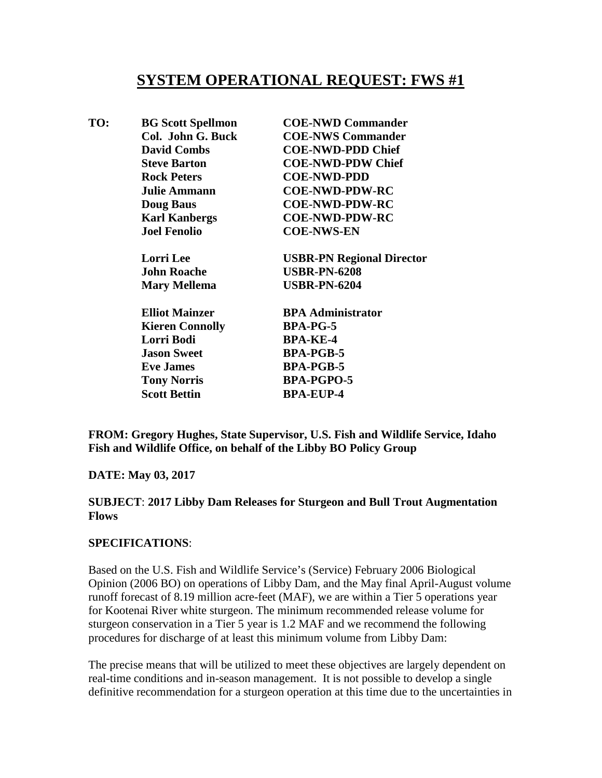## **SYSTEM OPERATIONAL REQUEST: FWS #1**

| TO: | <b>BG Scott Spellmon</b> | <b>COE-NWD Commander</b>         |
|-----|--------------------------|----------------------------------|
|     | Col. John G. Buck        | <b>COE-NWS Commander</b>         |
|     | <b>David Combs</b>       | <b>COE-NWD-PDD Chief</b>         |
|     | <b>Steve Barton</b>      | <b>COE-NWD-PDW Chief</b>         |
|     | <b>Rock Peters</b>       | <b>COE-NWD-PDD</b>               |
|     | <b>Julie Ammann</b>      | <b>COE-NWD-PDW-RC</b>            |
|     | <b>Doug Baus</b>         | <b>COE-NWD-PDW-RC</b>            |
|     | <b>Karl Kanbergs</b>     | <b>COE-NWD-PDW-RC</b>            |
|     | <b>Joel Fenolio</b>      | <b>COE-NWS-EN</b>                |
|     | <b>Lorri</b> Lee         | <b>USBR-PN Regional Director</b> |
|     | <b>John Roache</b>       | <b>USBR-PN-6208</b>              |
|     | <b>Mary Mellema</b>      | <b>USBR-PN-6204</b>              |
|     | <b>Elliot Mainzer</b>    | <b>BPA Administrator</b>         |
|     | <b>Kieren Connolly</b>   | <b>BPA-PG-5</b>                  |
|     | Lorri Bodi               | <b>BPA-KE-4</b>                  |
|     | <b>Jason Sweet</b>       | <b>BPA-PGB-5</b>                 |
|     | <b>Eve James</b>         | <b>BPA-PGB-5</b>                 |
|     | <b>Tony Norris</b>       | <b>BPA-PGPO-5</b>                |
|     | <b>Scott Bettin</b>      | <b>BPA-EUP-4</b>                 |
|     |                          |                                  |

**FROM: Gregory Hughes, State Supervisor, U.S. Fish and Wildlife Service, Idaho Fish and Wildlife Office, on behalf of the Libby BO Policy Group**

## **DATE: May 03, 2017**

**SUBJECT**: **2017 Libby Dam Releases for Sturgeon and Bull Trout Augmentation Flows**

## **SPECIFICATIONS**:

Based on the U.S. Fish and Wildlife Service's (Service) February 2006 Biological Opinion (2006 BO) on operations of Libby Dam, and the May final April-August volume runoff forecast of 8.19 million acre-feet (MAF), we are within a Tier 5 operations year for Kootenai River white sturgeon. The minimum recommended release volume for sturgeon conservation in a Tier 5 year is 1.2 MAF and we recommend the following procedures for discharge of at least this minimum volume from Libby Dam:

The precise means that will be utilized to meet these objectives are largely dependent on real-time conditions and in-season management. It is not possible to develop a single definitive recommendation for a sturgeon operation at this time due to the uncertainties in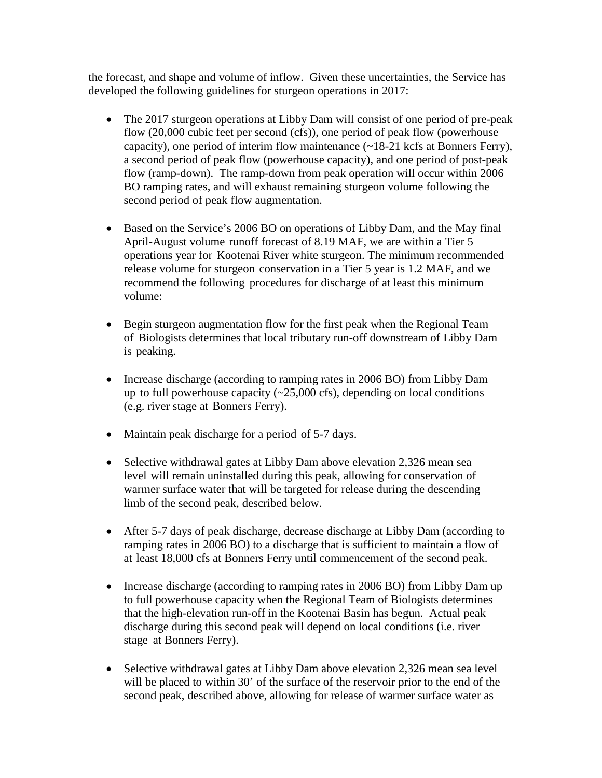the forecast, and shape and volume of inflow. Given these uncertainties, the Service has developed the following guidelines for sturgeon operations in 2017:

- The 2017 sturgeon operations at Libby Dam will consist of one period of pre-peak flow (20,000 cubic feet per second (cfs)), one period of peak flow (powerhouse capacity), one period of interim flow maintenance (~18-21 kcfs at Bonners Ferry), a second period of peak flow (powerhouse capacity), and one period of post-peak flow (ramp-down). The ramp-down from peak operation will occur within 2006 BO ramping rates, and will exhaust remaining sturgeon volume following the second period of peak flow augmentation.
- Based on the Service's 2006 BO on operations of Libby Dam, and the May final April-August volume runoff forecast of 8.19 MAF, we are within a Tier 5 operations year for Kootenai River white sturgeon. The minimum recommended release volume for sturgeon conservation in a Tier 5 year is 1.2 MAF, and we recommend the following procedures for discharge of at least this minimum volume:
- Begin sturgeon augmentation flow for the first peak when the Regional Team of Biologists determines that local tributary run-off downstream of Libby Dam is peaking.
- Increase discharge (according to ramping rates in 2006 BO) from Libby Dam up to full powerhouse capacity  $(\sim 25,000 \text{ cfs})$ , depending on local conditions (e.g. river stage at Bonners Ferry).
- Maintain peak discharge for a period of 5-7 days.
- Selective withdrawal gates at Libby Dam above elevation 2,326 mean sea level will remain uninstalled during this peak, allowing for conservation of warmer surface water that will be targeted for release during the descending limb of the second peak, described below.
- After 5-7 days of peak discharge, decrease discharge at Libby Dam (according to ramping rates in 2006 BO) to a discharge that is sufficient to maintain a flow of at least 18,000 cfs at Bonners Ferry until commencement of the second peak.
- Increase discharge (according to ramping rates in 2006 BO) from Libby Dam up to full powerhouse capacity when the Regional Team of Biologists determines that the high-elevation run-off in the Kootenai Basin has begun. Actual peak discharge during this second peak will depend on local conditions (i.e. river stage at Bonners Ferry).
- Selective withdrawal gates at Libby Dam above elevation 2,326 mean sea level will be placed to within 30' of the surface of the reservoir prior to the end of the second peak, described above, allowing for release of warmer surface water as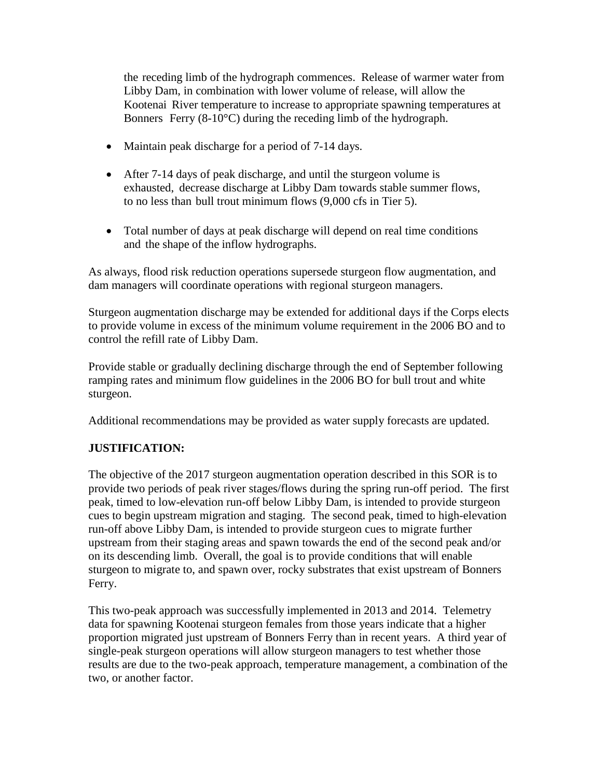the receding limb of the hydrograph commences. Release of warmer water from Libby Dam, in combination with lower volume of release, will allow the Kootenai River temperature to increase to appropriate spawning temperatures at Bonners Ferry (8-10°C) during the receding limb of the hydrograph.

- Maintain peak discharge for a period of 7-14 days.
- After 7-14 days of peak discharge, and until the sturgeon volume is exhausted, decrease discharge at Libby Dam towards stable summer flows, to no less than bull trout minimum flows (9,000 cfs in Tier 5).
- Total number of days at peak discharge will depend on real time conditions and the shape of the inflow hydrographs.

As always, flood risk reduction operations supersede sturgeon flow augmentation, and dam managers will coordinate operations with regional sturgeon managers.

Sturgeon augmentation discharge may be extended for additional days if the Corps elects to provide volume in excess of the minimum volume requirement in the 2006 BO and to control the refill rate of Libby Dam.

Provide stable or gradually declining discharge through the end of September following ramping rates and minimum flow guidelines in the 2006 BO for bull trout and white sturgeon.

Additional recommendations may be provided as water supply forecasts are updated.

## **JUSTIFICATION:**

The objective of the 2017 sturgeon augmentation operation described in this SOR is to provide two periods of peak river stages/flows during the spring run-off period. The first peak, timed to low-elevation run-off below Libby Dam, is intended to provide sturgeon cues to begin upstream migration and staging. The second peak, timed to high-elevation run-off above Libby Dam, is intended to provide sturgeon cues to migrate further upstream from their staging areas and spawn towards the end of the second peak and/or on its descending limb. Overall, the goal is to provide conditions that will enable sturgeon to migrate to, and spawn over, rocky substrates that exist upstream of Bonners Ferry.

This two-peak approach was successfully implemented in 2013 and 2014. Telemetry data for spawning Kootenai sturgeon females from those years indicate that a higher proportion migrated just upstream of Bonners Ferry than in recent years. A third year of single-peak sturgeon operations will allow sturgeon managers to test whether those results are due to the two-peak approach, temperature management, a combination of the two, or another factor.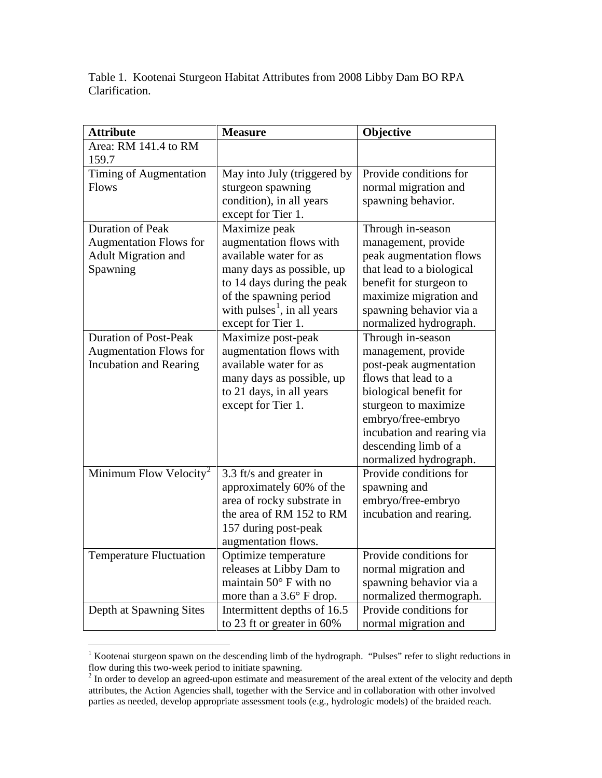Table 1. Kootenai Sturgeon Habitat Attributes from 2008 Libby Dam BO RPA Clarification.

| <b>Attribute</b>                   | <b>Measure</b>                          | Objective                  |
|------------------------------------|-----------------------------------------|----------------------------|
| Area: RM 141.4 to RM               |                                         |                            |
| 159.7                              |                                         |                            |
| Timing of Augmentation             | May into July (triggered by             | Provide conditions for     |
| <b>Flows</b>                       | sturgeon spawning                       | normal migration and       |
|                                    | condition), in all years                | spawning behavior.         |
|                                    | except for Tier 1.                      |                            |
| <b>Duration of Peak</b>            | Maximize peak                           | Through in-season          |
| <b>Augmentation Flows for</b>      | augmentation flows with                 | management, provide        |
| <b>Adult Migration and</b>         | available water for as                  | peak augmentation flows    |
| Spawning                           | many days as possible, up               | that lead to a biological  |
|                                    | to 14 days during the peak              | benefit for sturgeon to    |
|                                    | of the spawning period                  | maximize migration and     |
|                                    | with pulses <sup>1</sup> , in all years | spawning behavior via a    |
|                                    | except for Tier 1.                      | normalized hydrograph.     |
| <b>Duration of Post-Peak</b>       | Maximize post-peak                      | Through in-season          |
| <b>Augmentation Flows for</b>      | augmentation flows with                 | management, provide        |
| <b>Incubation and Rearing</b>      | available water for as                  | post-peak augmentation     |
|                                    | many days as possible, up               | flows that lead to a       |
|                                    | to 21 days, in all years                | biological benefit for     |
|                                    | except for Tier 1.                      | sturgeon to maximize       |
|                                    |                                         | embryo/free-embryo         |
|                                    |                                         | incubation and rearing via |
|                                    |                                         | descending limb of a       |
|                                    |                                         | normalized hydrograph.     |
| Minimum Flow Velocity <sup>2</sup> | 3.3 ft/s and greater in                 | Provide conditions for     |
|                                    | approximately 60% of the                | spawning and               |
|                                    | area of rocky substrate in              | embryo/free-embryo         |
|                                    | the area of RM 152 to RM                | incubation and rearing.    |
|                                    | 157 during post-peak                    |                            |
|                                    | augmentation flows.                     |                            |
| <b>Temperature Fluctuation</b>     | Optimize temperature                    | Provide conditions for     |
|                                    | releases at Libby Dam to                | normal migration and       |
|                                    | maintain $50^\circ$ F with no           | spawning behavior via a    |
|                                    | more than a 3.6° F drop.                | normalized thermograph.    |
| Depth at Spawning Sites            | Intermittent depths of 16.5             | Provide conditions for     |
|                                    | to 23 ft or greater in 60%              | normal migration and       |

<span id="page-3-0"></span><sup>&</sup>lt;sup>1</sup> Kootenai sturgeon spawn on the descending limb of the hydrograph. "Pulses" refer to slight reductions in Flow during this two-week period to initiate spawning.<br><sup>2</sup> In order to develop an agreed-upon estimate and measurement of the areal extent of the velocity and depth

<span id="page-3-1"></span>attributes, the Action Agencies shall, together with the Service and in collaboration with other involved parties as needed, develop appropriate assessment tools (e.g., hydrologic models) of the braided reach.